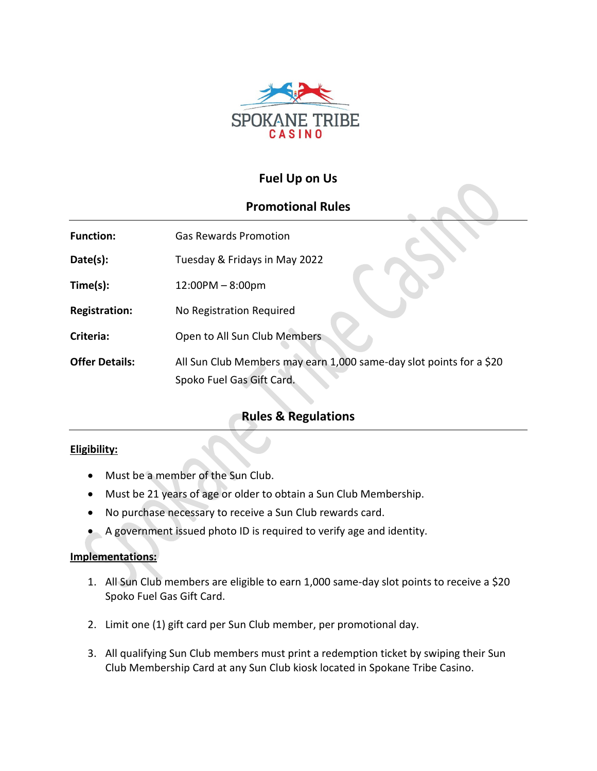

# **Fuel Up on Us**

## **Promotional Rules**

| <b>Function:</b>      | <b>Gas Rewards Promotion</b>                                                                     |
|-----------------------|--------------------------------------------------------------------------------------------------|
| Date(s):              | Tuesday & Fridays in May 2022                                                                    |
| Time(s):              | $12:00PM - 8:00pm$                                                                               |
| <b>Registration:</b>  | No Registration Required                                                                         |
| Criteria:             | Open to All Sun Club Members                                                                     |
| <b>Offer Details:</b> | All Sun Club Members may earn 1,000 same-day slot points for a \$20<br>Spoko Fuel Gas Gift Card. |

# **Rules & Regulations**

### **Eligibility:**

- Must be a member of the Sun Club.
- Must be 21 years of age or older to obtain a Sun Club Membership.
- No purchase necessary to receive a Sun Club rewards card.
- A government issued photo ID is required to verify age and identity.

### **Implementations:**

- 1. All Sun Club members are eligible to earn 1,000 same-day slot points to receive a \$20 Spoko Fuel Gas Gift Card.
- 2. Limit one (1) gift card per Sun Club member, per promotional day.
- 3. All qualifying Sun Club members must print a redemption ticket by swiping their Sun Club Membership Card at any Sun Club kiosk located in Spokane Tribe Casino.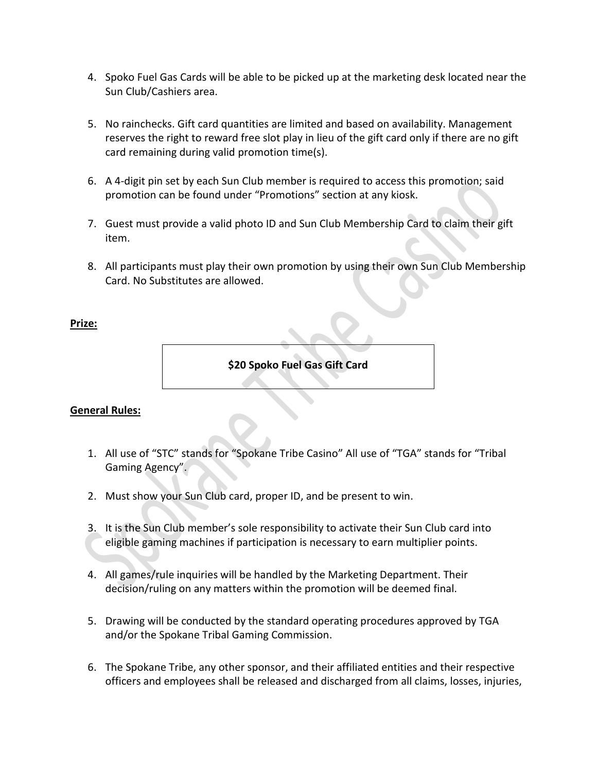- 4. Spoko Fuel Gas Cards will be able to be picked up at the marketing desk located near the Sun Club/Cashiers area.
- 5. No rainchecks. Gift card quantities are limited and based on availability. Management reserves the right to reward free slot play in lieu of the gift card only if there are no gift card remaining during valid promotion time(s).
- 6. A 4-digit pin set by each Sun Club member is required to access this promotion; said promotion can be found under "Promotions" section at any kiosk.
- 7. Guest must provide a valid photo ID and Sun Club Membership Card to claim their gift item.
- 8. All participants must play their own promotion by using their own Sun Club Membership Card. No Substitutes are allowed.

#### **Prize:**

**\$20 Spoko Fuel Gas Gift Card**

### **General Rules:**

- 1. All use of "STC" stands for "Spokane Tribe Casino" All use of "TGA" stands for "Tribal Gaming Agency".
- 2. Must show your Sun Club card, proper ID, and be present to win.
- 3. It is the Sun Club member's sole responsibility to activate their Sun Club card into eligible gaming machines if participation is necessary to earn multiplier points.
- 4. All games/rule inquiries will be handled by the Marketing Department. Their decision/ruling on any matters within the promotion will be deemed final.
- 5. Drawing will be conducted by the standard operating procedures approved by TGA and/or the Spokane Tribal Gaming Commission.
- 6. The Spokane Tribe, any other sponsor, and their affiliated entities and their respective officers and employees shall be released and discharged from all claims, losses, injuries,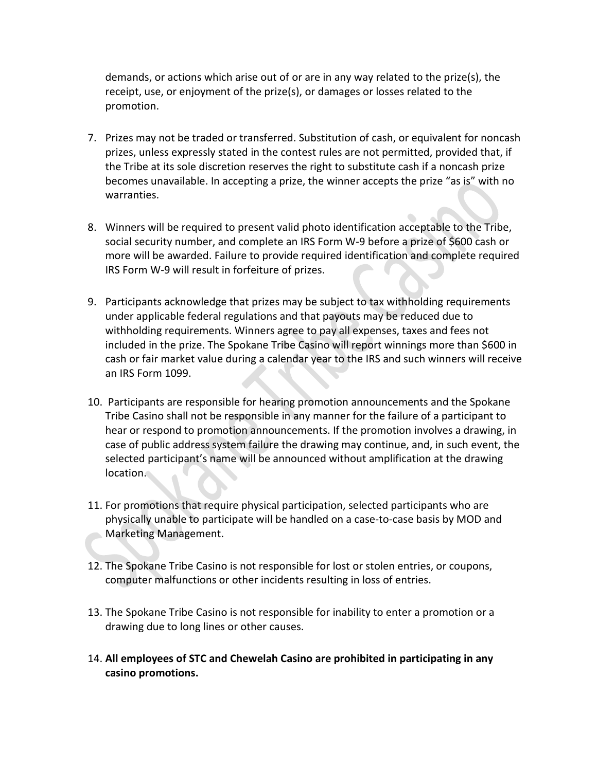demands, or actions which arise out of or are in any way related to the prize(s), the receipt, use, or enjoyment of the prize(s), or damages or losses related to the promotion.

- 7. Prizes may not be traded or transferred. Substitution of cash, or equivalent for noncash prizes, unless expressly stated in the contest rules are not permitted, provided that, if the Tribe at its sole discretion reserves the right to substitute cash if a noncash prize becomes unavailable. In accepting a prize, the winner accepts the prize "as is" with no warranties.
- 8. Winners will be required to present valid photo identification acceptable to the Tribe, social security number, and complete an IRS Form W-9 before a prize of \$600 cash or more will be awarded. Failure to provide required identification and complete required IRS Form W-9 will result in forfeiture of prizes.
- 9. Participants acknowledge that prizes may be subject to tax withholding requirements under applicable federal regulations and that payouts may be reduced due to withholding requirements. Winners agree to pay all expenses, taxes and fees not included in the prize. The Spokane Tribe Casino will report winnings more than \$600 in cash or fair market value during a calendar year to the IRS and such winners will receive an IRS Form 1099.
- 10. Participants are responsible for hearing promotion announcements and the Spokane Tribe Casino shall not be responsible in any manner for the failure of a participant to hear or respond to promotion announcements. If the promotion involves a drawing, in case of public address system failure the drawing may continue, and, in such event, the selected participant's name will be announced without amplification at the drawing location.
- 11. For promotions that require physical participation, selected participants who are physically unable to participate will be handled on a case-to-case basis by MOD and Marketing Management.
- 12. The Spokane Tribe Casino is not responsible for lost or stolen entries, or coupons, computer malfunctions or other incidents resulting in loss of entries.
- 13. The Spokane Tribe Casino is not responsible for inability to enter a promotion or a drawing due to long lines or other causes.
- 14. **All employees of STC and Chewelah Casino are prohibited in participating in any casino promotions.**